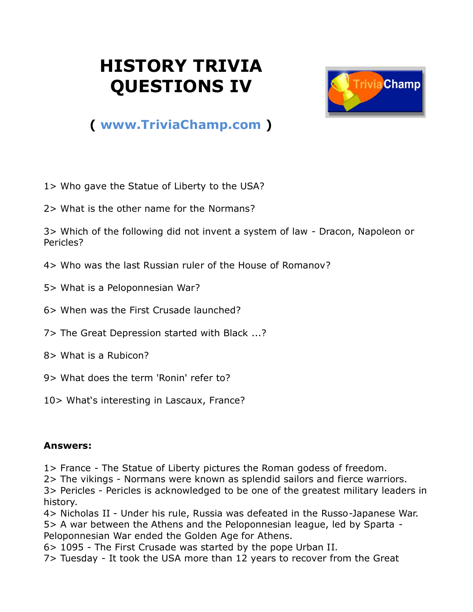## **HISTORY TRIVIA QUESTIONS IV**



## **( [www.TriviaChamp.com](http://www.triviachamp.com/) )**

- 1> Who gave the Statue of Liberty to the USA?
- 2> What is the other name for the Normans?

3> Which of the following did not invent a system of law - Dracon, Napoleon or Pericles?

- 4> Who was the last Russian ruler of the House of Romanov?
- 5> What is a Peloponnesian War?
- 6> When was the First Crusade launched?
- 7> The Great Depression started with Black ...?
- 8> What is a Rubicon?
- 9> What does the term 'Ronin' refer to?
- 10> What's interesting in Lascaux, France?

## **Answers:**

1> France - The Statue of Liberty pictures the Roman godess of freedom.

2> The vikings - Normans were known as splendid sailors and fierce warriors.

3> Pericles - Pericles is acknowledged to be one of the greatest military leaders in history.

4> Nicholas II - Under his rule, Russia was defeated in the Russo-Japanese War. 5> A war between the Athens and the Peloponnesian league, led by Sparta - Peloponnesian War ended the Golden Age for Athens.

6> 1095 - The First Crusade was started by the pope Urban II.

7> Tuesday - It took the USA more than 12 years to recover from the Great